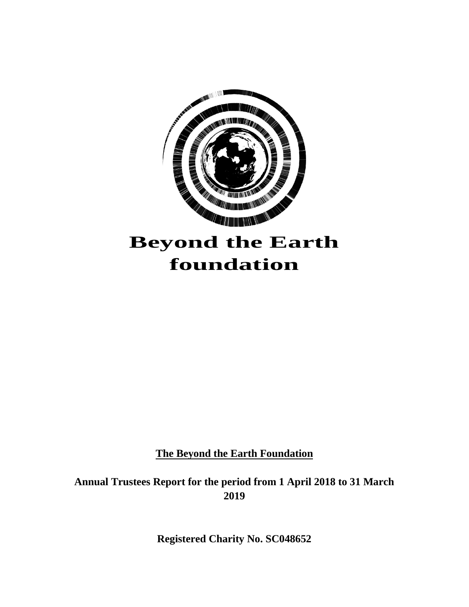

**The Beyond the Earth Foundation**

**Annual Trustees Report for the period from 1 April 2018 to 31 March 2019**

**Registered Charity No. SC048652**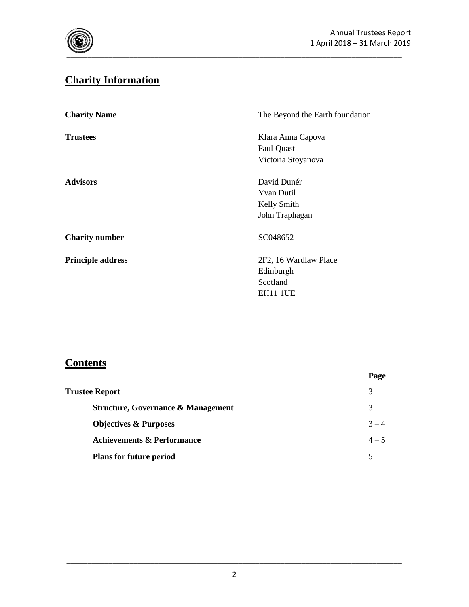

# **Charity Information**

| <b>Charity Name</b>      | The Beyond the Earth foundation |
|--------------------------|---------------------------------|
| <b>Trustees</b>          | Klara Anna Capova               |
|                          | Paul Quast                      |
|                          | Victoria Stoyanova              |
| <b>Advisors</b>          | David Dunér                     |
|                          | <b>Yvan Dutil</b>               |
|                          | Kelly Smith                     |
|                          | John Traphagan                  |
| <b>Charity number</b>    | SC048652                        |
| <b>Principle address</b> | 2F2, 16 Wardlaw Place           |
|                          | Edinburgh                       |
|                          | Scotland                        |
|                          | <b>EH11 1UE</b>                 |

# **Contents**

|                                               | Page    |
|-----------------------------------------------|---------|
| <b>Trustee Report</b>                         |         |
| <b>Structure, Governance &amp; Management</b> | 3       |
| <b>Objectives &amp; Purposes</b>              | $3 - 4$ |
| <b>Achievements &amp; Performance</b>         | $4 - 5$ |
| <b>Plans for future period</b>                | 5       |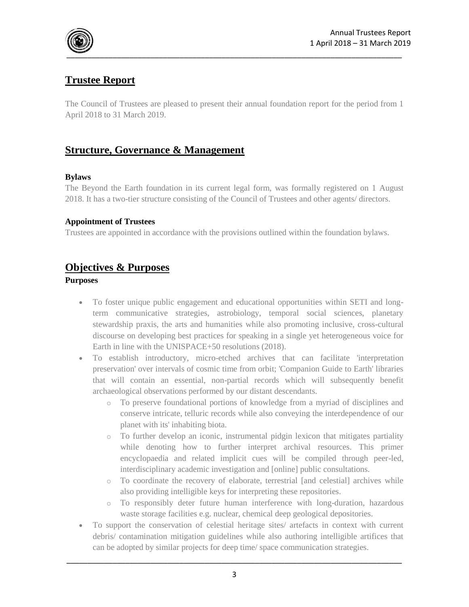

## **Trustee Report**

The Council of Trustees are pleased to present their annual foundation report for the period from 1 April 2018 to 31 March 2019.

## **Structure, Governance & Management**

### **Bylaws**

The Beyond the Earth foundation in its current legal form, was formally registered on 1 August 2018. It has a two-tier structure consisting of the Council of Trustees and other agents/ directors.

#### **Appointment of Trustees**

Trustees are appointed in accordance with the provisions outlined within the foundation bylaws.

## **Objectives & Purposes**

#### **Purposes**

- To foster unique public engagement and educational opportunities within SETI and longterm communicative strategies, astrobiology, temporal social sciences, planetary stewardship praxis, the arts and humanities while also promoting inclusive, cross-cultural discourse on developing best practices for speaking in a single yet heterogeneous voice for Earth in line with the UNISPACE+50 resolutions (2018).
- To establish introductory, micro-etched archives that can facilitate 'interpretation preservation' over intervals of cosmic time from orbit; 'Companion Guide to Earth' libraries that will contain an essential, non-partial records which will subsequently benefit archaeological observations performed by our distant descendants.
	- o To preserve foundational portions of knowledge from a myriad of disciplines and conserve intricate, telluric records while also conveying the interdependence of our planet with its' inhabiting biota.
	- o To further develop an iconic, instrumental pidgin lexicon that mitigates partiality while denoting how to further interpret archival resources. This primer encyclopaedia and related implicit cues will be compiled through peer-led, interdisciplinary academic investigation and [online] public consultations.
	- o To coordinate the recovery of elaborate, terrestrial [and celestial] archives while also providing intelligible keys for interpreting these repositories.
	- o To responsibly deter future human interference with long-duration, hazardous waste storage facilities e.g. nuclear, chemical deep geological depositories.
- To support the conservation of celestial heritage sites/ artefacts in context with current debris/ contamination mitigation guidelines while also authoring intelligible artifices that can be adopted by similar projects for deep time/ space communication strategies.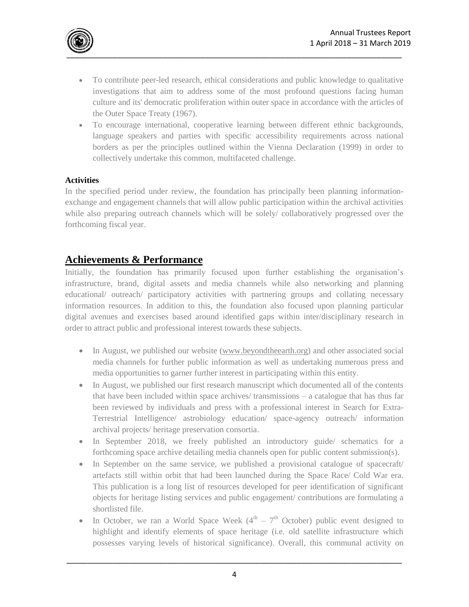

- To contribute peer-led research, ethical considerations and public knowledge to qualitative investigations that aim to address some of the most profound questions facing human culture and its' democratic proliferation within outer space in accordance with the articles of the Outer Space Treaty (1967).
- To encourage international, cooperative learning between different ethnic backgrounds, language speakers and parties with specific accessibility requirements across national borders as per the principles outlined within the Vienna Declaration (1999) in order to collectively undertake this common, multifaceted challenge.

#### **Activities**

In the specified period under review, the foundation has principally been planning informationexchange and engagement channels that will allow public participation within the archival activities while also preparing outreach channels which will be solely/ collaboratively progressed over the forthcoming fiscal year.

### **Achievements & Performance**

Initially, the foundation has primarily focused upon further establishing the organisation's infrastructure, brand, digital assets and media channels while also networking and planning educational/ outreach/ participatory activities with partnering groups and collating necessary information resources. In addition to this, the foundation also focused upon planning particular digital avenues and exercises based around identified gaps within inter/disciplinary research in order to attract public and professional interest towards these subjects.

- In August, we published our website [\(www.beyondtheearth.org\)](http://www.beyondtheearth.org/) and other associated social media channels for further public information as well as undertaking numerous press and media opportunities to garner further interest in participating within this entity.
- In August, we published our first research manuscript which documented all of the contents that have been included within space archives/ transmissions – a catalogue that has thus far been reviewed by individuals and press with a professional interest in Search for Extra-Terrestrial Intelligence/ astrobiology education/ space-agency outreach/ information archival projects/ heritage preservation consortia.
- In September 2018, we freely published an introductory guide/ schematics for a forthcoming space archive detailing media channels open for public content submission(s).
- In September on the same service, we published a provisional catalogue of spacecraft/ artefacts still within orbit that had been launched during the Space Race/ Cold War era. This publication is a long list of resources developed for peer identification of significant objects for heritage listing services and public engagement/ contributions are formulating a shortlisted file.
- In October, we ran a World Space Week  $(4<sup>th</sup> 7<sup>th</sup>$  October) public event designed to highlight and identify elements of space heritage (i.e. old satellite infrastructure which possesses varying levels of historical significance). Overall, this communal activity on